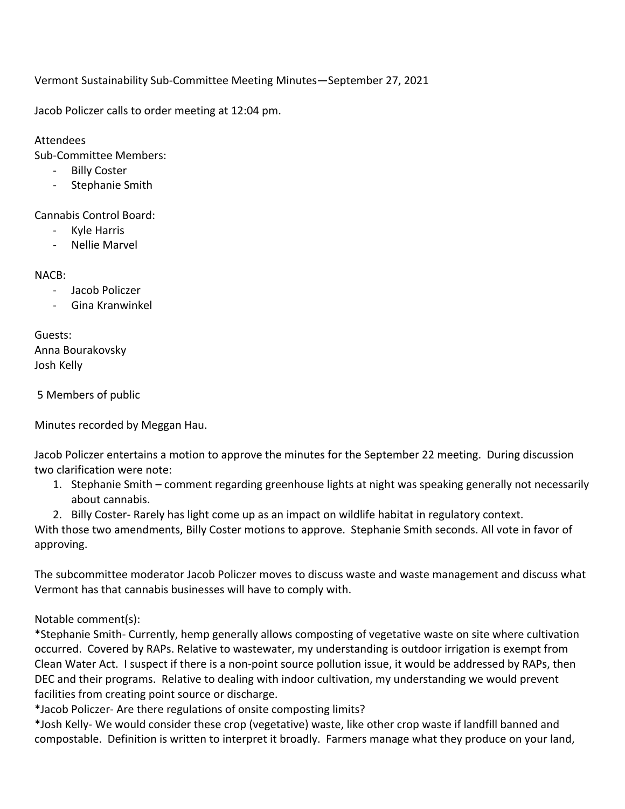Vermont Sustainability Sub-Committee Meeting Minutes—September 27, 2021

Jacob Policzer calls to order meeting at 12:04 pm.

Attendees

Sub-Committee Members:

- Billy Coster
- Stephanie Smith

Cannabis Control Board:

- Kyle Harris
- Nellie Marvel

## NACB:

- Jacob Policzer
- Gina Kranwinkel

Guests: Anna Bourakovsky Josh Kelly

5 Members of public

Minutes recorded by Meggan Hau.

Jacob Policzer entertains a motion to approve the minutes for the September 22 meeting. During discussion two clarification were note:

- 1. Stephanie Smith comment regarding greenhouse lights at night was speaking generally not necessarily about cannabis.
- 2. Billy Coster- Rarely has light come up as an impact on wildlife habitat in regulatory context.

With those two amendments, Billy Coster motions to approve. Stephanie Smith seconds. All vote in favor of approving.

The subcommittee moderator Jacob Policzer moves to discuss waste and waste management and discuss what Vermont has that cannabis businesses will have to comply with.

## Notable comment(s):

\*Stephanie Smith- Currently, hemp generally allows composting of vegetative waste on site where cultivation occurred. Covered by RAPs. Relative to wastewater, my understanding is outdoor irrigation is exempt from Clean Water Act. I suspect if there is a non-point source pollution issue, it would be addressed by RAPs, then DEC and their programs. Relative to dealing with indoor cultivation, my understanding we would prevent facilities from creating point source or discharge.

\*Jacob Policzer- Are there regulations of onsite composting limits?

\*Josh Kelly- We would consider these crop (vegetative) waste, like other crop waste if landfill banned and compostable. Definition is written to interpret it broadly. Farmers manage what they produce on your land,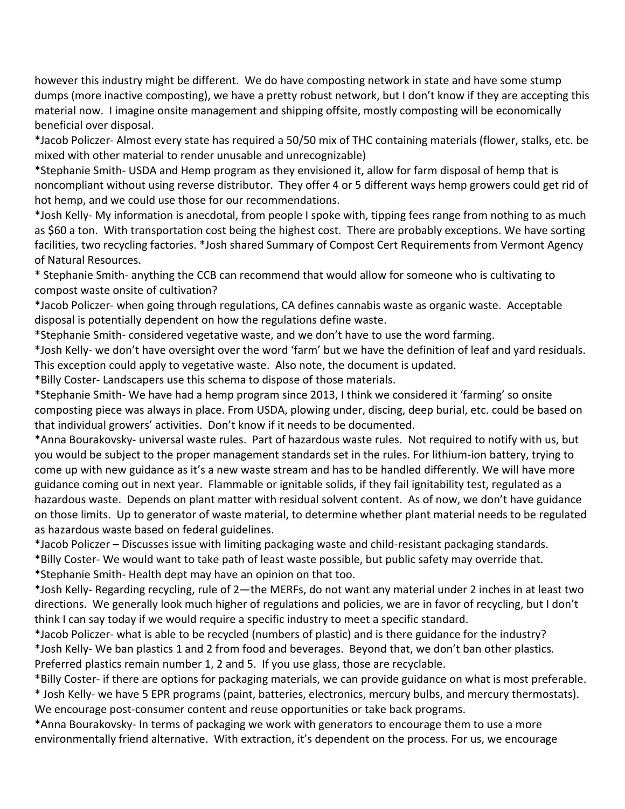however this industry might be different. We do have composting network in state and have some stump dumps (more inactive composting), we have a pretty robust network, but I don't know if they are accepting this material now. I imagine onsite management and shipping offsite, mostly composting will be economically beneficial over disposal.

\*Jacob Policzer- Almost every state has required a 50/50 mix of THC containing materials (flower, stalks, etc. be mixed with other material to render unusable and unrecognizable)

\*Stephanie Smith- USDA and Hemp program as they envisioned it, allow for farm disposal of hemp that is noncompliant without using reverse distributor. They offer 4 or 5 different ways hemp growers could get rid of hot hemp, and we could use those for our recommendations.

\*Josh Kelly- My information is anecdotal, from people I spoke with, tipping fees range from nothing to as much as \$60 a ton. With transportation cost being the highest cost. There are probably exceptions. We have sorting facilities, two recycling factories. \*Josh shared Summary of Compost Cert Requirements from Vermont Agency of Natural Resources.

\* Stephanie Smith- anything the CCB can recommend that would allow for someone who is cultivating to compost waste onsite of cultivation?

\*Jacob Policzer- when going through regulations, CA defines cannabis waste as organic waste. Acceptable disposal is potentially dependent on how the regulations define waste.

\*Stephanie Smith- considered vegetative waste, and we don't have to use the word farming.

\*Josh Kelly- we don't have oversight over the word 'farm' but we have the definition of leaf and yard residuals. This exception could apply to vegetative waste. Also note, the document is updated.

\*Billy Coster- Landscapers use this schema to dispose of those materials.

\*Stephanie Smith- We have had a hemp program since 2013, I think we considered it 'farming' so onsite composting piece was always in place. From USDA, plowing under, discing, deep burial, etc. could be based on that individual growers' activities. Don't know if it needs to be documented.

\*Anna Bourakovsky- universal waste rules. Part of hazardous waste rules. Not required to notify with us, but you would be subject to the proper management standards set in the rules. For lithium-ion battery, trying to come up with new guidance as it's a new waste stream and has to be handled differently. We will have more guidance coming out in next year. Flammable or ignitable solids, if they fail ignitability test, regulated as a hazardous waste. Depends on plant matter with residual solvent content. As of now, we don't have guidance on those limits. Up to generator of waste material, to determine whether plant material needs to be regulated as hazardous waste based on federal guidelines.

\*Jacob Policzer – Discusses issue with limiting packaging waste and child-resistant packaging standards.

\*Billy Coster- We would want to take path of least waste possible, but public safety may override that.

\*Stephanie Smith- Health dept may have an opinion on that too.

\*Josh Kelly- Regarding recycling, rule of 2—the MERFs, do not want any material under 2 inches in at least two directions. We generally look much higher of regulations and policies, we are in favor of recycling, but I don't think I can say today if we would require a specific industry to meet a specific standard.

\*Jacob Policzer- what is able to be recycled (numbers of plastic) and is there guidance for the industry? \*Josh Kelly- We ban plastics 1 and 2 from food and beverages. Beyond that, we don't ban other plastics. Preferred plastics remain number 1, 2 and 5. If you use glass, those are recyclable.

\*Billy Coster- if there are options for packaging materials, we can provide guidance on what is most preferable. \* Josh Kelly- we have 5 EPR programs (paint, batteries, electronics, mercury bulbs, and mercury thermostats). We encourage post-consumer content and reuse opportunities or take back programs.

\*Anna Bourakovsky- In terms of packaging we work with generators to encourage them to use a more environmentally friend alternative. With extraction, it's dependent on the process. For us, we encourage